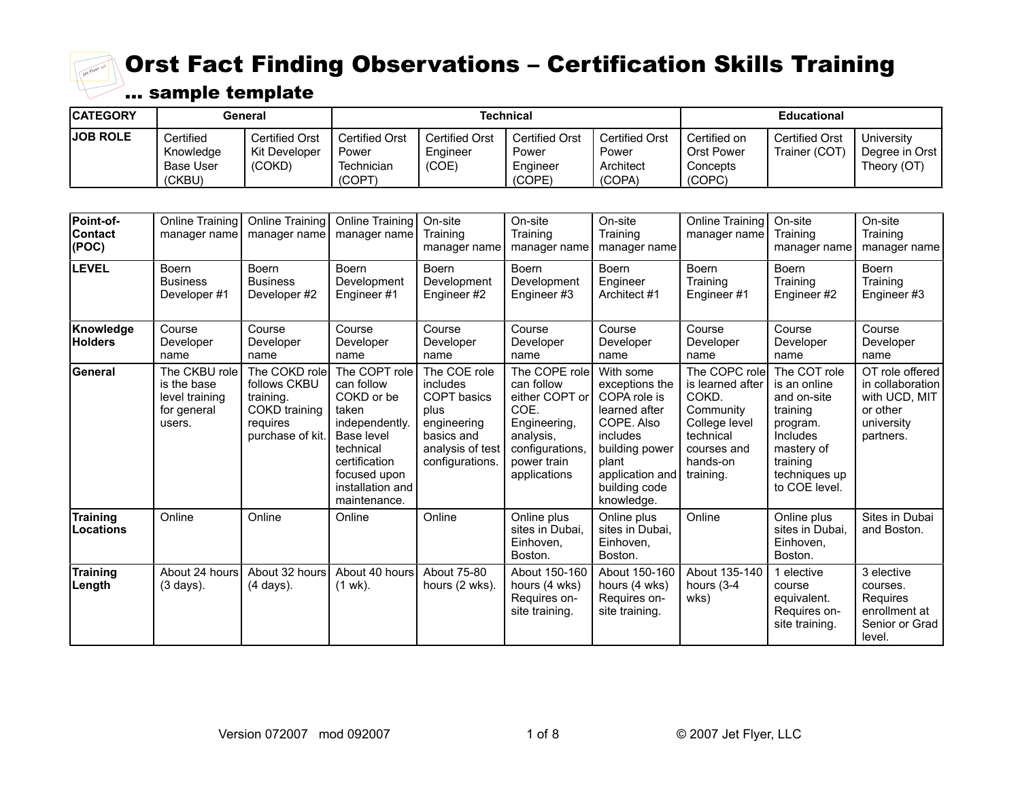

| <b>CATEGORY</b> | General                                              |                                           |                                                |                                     | Technical                                            | <b>Educational</b>                                    |                                                           |                                        |                                             |
|-----------------|------------------------------------------------------|-------------------------------------------|------------------------------------------------|-------------------------------------|------------------------------------------------------|-------------------------------------------------------|-----------------------------------------------------------|----------------------------------------|---------------------------------------------|
| <b>JOB ROLE</b> | Certified<br>Knowledge<br><b>Base User</b><br>(CKBU) | Certified Orst<br>Kit Developer<br>(COKD) | Certified Orst<br>Power<br>Technician<br>(COPT | Certified Orst<br>Enaineer<br>(COE) | <b>Certified Orst</b><br>Power<br>Engineer<br>(COPE) | <b>Certified Orst</b><br>Power<br>Architect<br>(COPA) | l Certified on<br><b>Orst Power</b><br>Concepts<br>(COPC) | <b>Certified Orst</b><br>Trainer (COT) | University<br>Degree in Orst<br>Theory (OT) |

| Point-of-<br><b>Contact</b><br>(POC) | Online Training<br>manager name                                         | <b>Online Training</b><br>manager name                                                      | Online Training<br>manager name                                                                                                                                      | On-site<br>Training<br>manager name                                                                                        | On-site<br>Training<br>manager name                                                                                                  | On-site<br>Training<br>manager name                                                                                                                                 | <b>Online Training</b><br>manager name                                                                                        | On-site<br>Training<br>manager name                                                                                                         | On-site<br>Training<br>manager name                                                         |
|--------------------------------------|-------------------------------------------------------------------------|---------------------------------------------------------------------------------------------|----------------------------------------------------------------------------------------------------------------------------------------------------------------------|----------------------------------------------------------------------------------------------------------------------------|--------------------------------------------------------------------------------------------------------------------------------------|---------------------------------------------------------------------------------------------------------------------------------------------------------------------|-------------------------------------------------------------------------------------------------------------------------------|---------------------------------------------------------------------------------------------------------------------------------------------|---------------------------------------------------------------------------------------------|
| <b>LEVEL</b>                         | Boern<br><b>Business</b><br>Developer#1                                 | <b>Boern</b><br><b>Business</b><br>Developer#2                                              | <b>Boern</b><br>Development<br>Engineer#1                                                                                                                            | <b>Boern</b><br>Development<br>Engineer #2                                                                                 | <b>Boern</b><br>Development<br>Engineer#3                                                                                            | <b>Boern</b><br>Engineer<br>Architect #1                                                                                                                            | <b>Boern</b><br>Training<br>Engineer#1                                                                                        | <b>Boern</b><br>Training<br>Engineer #2                                                                                                     | <b>Boern</b><br>Training<br>Engineer #3                                                     |
| Knowledge<br><b>Holders</b>          | Course<br>Developer<br>name                                             | Course<br>Developer<br>name                                                                 | Course<br>Developer<br>name                                                                                                                                          | Course<br>Developer<br>name                                                                                                | Course<br>Developer<br>name                                                                                                          | Course<br>Developer<br>name                                                                                                                                         | Course<br>Developer<br>name                                                                                                   | Course<br>Developer<br>name                                                                                                                 | Course<br>Developer<br>name                                                                 |
| <b>General</b>                       | The CKBU role<br>is the base<br>level training<br>for general<br>users. | The COKD role<br>follows CKBU<br>training.<br>COKD training<br>requires<br>purchase of kit. | The COPT role<br>can follow<br>COKD or be<br>taken<br>independently.<br>Base level<br>technical<br>certification<br>focused upon<br>installation and<br>maintenance. | The COE role<br>includes<br><b>COPT</b> basics<br>plus<br>engineering<br>basics and<br>analysis of test<br>configurations. | The COPE role<br>can follow<br>either COPT or<br>COE.<br>Engineering,<br>analysis,<br>configurations,<br>power train<br>applications | With some<br>exceptions the<br>COPA role is<br>learned after<br>COPE. Also<br>includes<br>building power<br>plant<br>application and<br>building code<br>knowledge. | The COPC role<br>is learned after<br>COKD.<br>Community<br>College level<br>technical<br>courses and<br>hands-on<br>training. | The COT role<br>is an online<br>and on-site<br>training<br>program.<br>Includes<br>mastery of<br>training<br>techniques up<br>to COE level. | OT role offered<br>in collaboration<br>with UCD, MIT<br>or other<br>university<br>partners. |
| <b>Training</b><br>Locations         | Online                                                                  | Online                                                                                      | Online                                                                                                                                                               | Online                                                                                                                     | Online plus<br>sites in Dubai,<br>Einhoven,<br>Boston.                                                                               | Online plus<br>sites in Dubai,<br>Einhoven,<br>Boston.                                                                                                              | Online                                                                                                                        | Online plus<br>sites in Dubai.<br>Einhoven,<br>Boston.                                                                                      | Sites in Dubai<br>and Boston.                                                               |
| <b>Training</b><br>Length            | About 24 hours<br>$(3 \text{ days})$ .                                  | About 32 hours<br>(4 days).                                                                 | About 40 hours<br>$(1$ wk).                                                                                                                                          | About 75-80<br>hours (2 wks).                                                                                              | About 150-160<br>hours (4 wks)<br>Requires on-<br>site training.                                                                     | About 150-160<br>hours (4 wks)<br>Requires on-<br>site training.                                                                                                    | About 135-140<br>hours (3-4<br>wks)                                                                                           | elective<br>course<br>equivalent.<br>Requires on-<br>site training.                                                                         | 3 elective<br>courses.<br>Requires<br>enrollment at<br>Senior or Grad<br>level.             |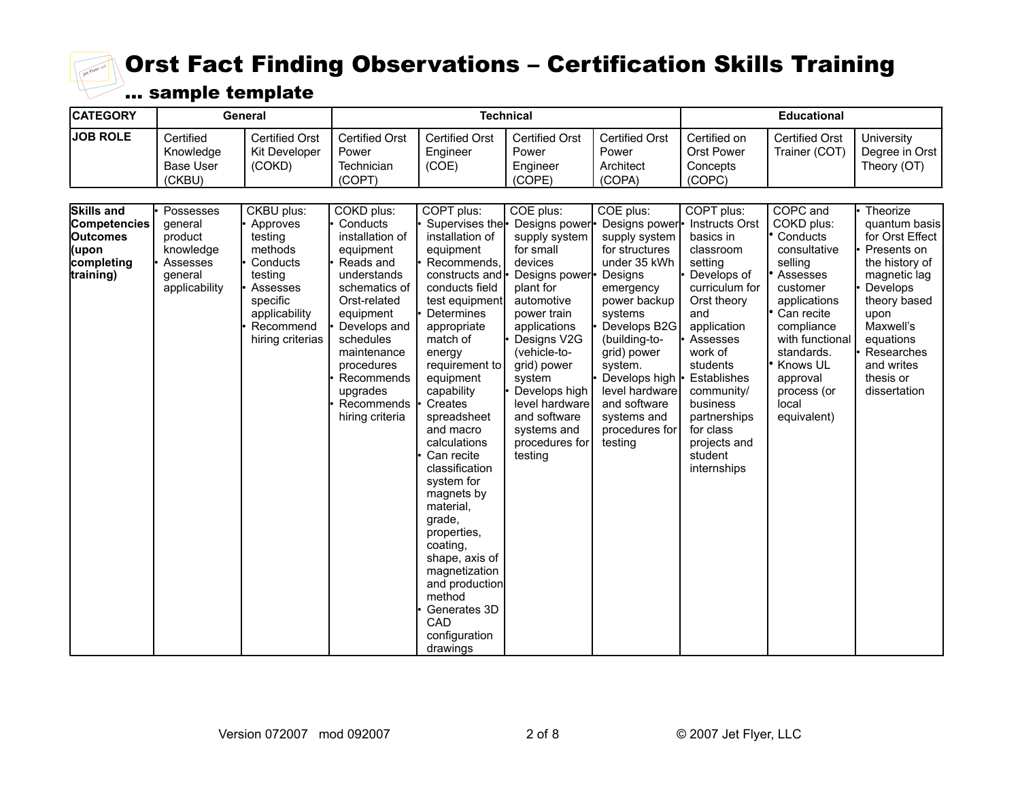

| <b>CATEGORY</b>                                                                          | General                                                                              |                                                                                                                                               |                                                                                                                                                                                                                                                       |                                                                                                                                                                                                                                                                                                                                                                                                                                                                                                                           | <b>Technical</b>                                                                                                                                                                                                                                                                                      |                                                                                                                                                                                                                                                                                            |                                                                                                                                                                                                                                                                                                   | <b>Educational</b>                                                                                                                                                                                                                |                                                                                                                                                                                                                      |  |  |
|------------------------------------------------------------------------------------------|--------------------------------------------------------------------------------------|-----------------------------------------------------------------------------------------------------------------------------------------------|-------------------------------------------------------------------------------------------------------------------------------------------------------------------------------------------------------------------------------------------------------|---------------------------------------------------------------------------------------------------------------------------------------------------------------------------------------------------------------------------------------------------------------------------------------------------------------------------------------------------------------------------------------------------------------------------------------------------------------------------------------------------------------------------|-------------------------------------------------------------------------------------------------------------------------------------------------------------------------------------------------------------------------------------------------------------------------------------------------------|--------------------------------------------------------------------------------------------------------------------------------------------------------------------------------------------------------------------------------------------------------------------------------------------|---------------------------------------------------------------------------------------------------------------------------------------------------------------------------------------------------------------------------------------------------------------------------------------------------|-----------------------------------------------------------------------------------------------------------------------------------------------------------------------------------------------------------------------------------|----------------------------------------------------------------------------------------------------------------------------------------------------------------------------------------------------------------------|--|--|
| <b>JOB ROLE</b>                                                                          | Certified<br>Knowledge<br><b>Base User</b><br>(CKBU)                                 | <b>Certified Orst</b><br>Kit Developer<br>(COKD)                                                                                              | <b>Certified Orst</b><br>Power<br>Technician<br>(COPT)                                                                                                                                                                                                | <b>Certified Orst</b><br>Engineer<br>(COE)                                                                                                                                                                                                                                                                                                                                                                                                                                                                                | <b>Certified Orst</b><br>Power<br>Engineer<br>(COPE)                                                                                                                                                                                                                                                  | <b>Certified Orst</b><br>Power<br>Architect<br>(COPA)                                                                                                                                                                                                                                      | Certified on<br><b>Orst Power</b><br>Concepts<br>(COPC)                                                                                                                                                                                                                                           | <b>Certified Orst</b><br>Trainer (COT)                                                                                                                                                                                            | University<br>Degree in Orst<br>Theory (OT)                                                                                                                                                                          |  |  |
| <b>Skills and</b><br>Competencies<br><b>Outcomes</b><br>(upon<br>completing<br>training) | Possesses<br>general<br>product<br>knowledge<br>Assesses<br>general<br>applicability | CKBU plus:<br>Approves<br>testing<br>methods<br>Conducts<br>testing<br>Assesses<br>specific<br>applicability<br>Recommend<br>hiring criterias | COKD plus:<br>Conducts<br>installation of<br>equipment<br>Reads and<br>understands<br>schematics of<br>Orst-related<br>equipment<br>Develops and<br>schedules<br>maintenance<br>procedures<br>Recommends<br>upgrades<br>Recommends<br>hiring criteria | COPT plus:<br>Supervises the<br>installation of<br>equipment<br>Recommends,<br>constructs and<br>conducts field<br>test equipment<br>Determines<br>appropriate<br>match of<br>energy<br>requirement to<br>equipment<br>capability<br>Creates<br>spreadsheet<br>and macro<br>calculations<br>Can recite<br>classification<br>system for<br>magnets by<br>material,<br>grade,<br>properties,<br>coating,<br>shape, axis of<br>magnetization<br>and production<br>method<br>Generates 3D<br>CAD<br>configuration<br>drawings | COE plus:<br>Designs power<br>supply system<br>for small<br>devices<br>Designs power<br>plant for<br>automotive<br>power train<br>applications<br>Designs V2G<br>(vehicle-to-<br>grid) power<br>system<br>Develops high<br>level hardware<br>and software<br>systems and<br>procedures for<br>testing | COE plus:<br>Designs power<br>supply system<br>for structures<br>under 35 kWh<br>Designs<br>emergency<br>power backup<br>systems<br>Develops B2G<br>(building-to-<br>grid) power<br>system.<br>Develops high<br>level hardware<br>and software<br>systems and<br>procedures for<br>testing | COPT plus:<br><b>Instructs Orst</b><br>basics in<br>classroom<br>setting<br>Develops of<br>curriculum for<br>Orst theory<br>and<br>application<br>Assesses<br>work of<br>students<br>Establishes<br>community/<br>business<br>partnerships<br>for class<br>projects and<br>student<br>internships | COPC and<br>COKD plus:<br>Conducts<br>consultative<br>selling<br>Assesses<br>customer<br>applications<br>Can recite<br>compliance<br>with functional<br>standards.<br>Knows UL<br>approval<br>process (or<br>local<br>equivalent) | Theorize<br>quantum basis<br>for Orst Effect<br>Presents on<br>the history of<br>magnetic lag<br>Develops<br>theory based<br>upon<br>Maxwell's<br>equations<br>Researches<br>and writes<br>thesis or<br>dissertation |  |  |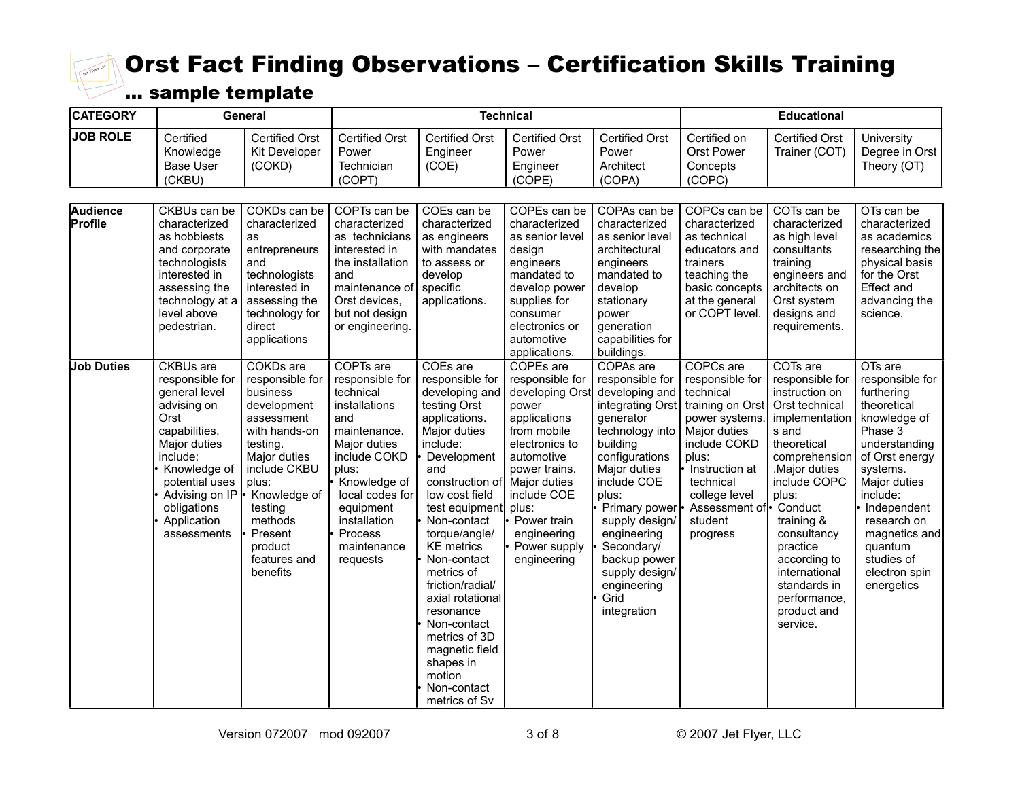

| <b>CATEGORY</b>            |                                                                                                                                                                                                                           | General                                                                                                                                                                                                                             |                                                                                                                                                                                                                                  |                                                                                                                                                                                                                                                                                                                                                                                                                                         | <b>Technical</b>                                                                                                                                                                                                                              |                                                                                                                                                                                                                                                                                                                  |                                                                                                                                                                                                                 | <b>Educational</b>                                                                                                                                                                                                                                                                                                  |                                                                                                                                                                                                                                                                      |
|----------------------------|---------------------------------------------------------------------------------------------------------------------------------------------------------------------------------------------------------------------------|-------------------------------------------------------------------------------------------------------------------------------------------------------------------------------------------------------------------------------------|----------------------------------------------------------------------------------------------------------------------------------------------------------------------------------------------------------------------------------|-----------------------------------------------------------------------------------------------------------------------------------------------------------------------------------------------------------------------------------------------------------------------------------------------------------------------------------------------------------------------------------------------------------------------------------------|-----------------------------------------------------------------------------------------------------------------------------------------------------------------------------------------------------------------------------------------------|------------------------------------------------------------------------------------------------------------------------------------------------------------------------------------------------------------------------------------------------------------------------------------------------------------------|-----------------------------------------------------------------------------------------------------------------------------------------------------------------------------------------------------------------|---------------------------------------------------------------------------------------------------------------------------------------------------------------------------------------------------------------------------------------------------------------------------------------------------------------------|----------------------------------------------------------------------------------------------------------------------------------------------------------------------------------------------------------------------------------------------------------------------|
| <b>JOB ROLE</b>            | Certified<br>Knowledge<br><b>Base User</b><br>(CKBU)                                                                                                                                                                      | <b>Certified Orst</b><br>Kit Developer<br>(COKD)                                                                                                                                                                                    | <b>Certified Orst</b><br>Power<br>Technician<br>(COPT)                                                                                                                                                                           | <b>Certified Orst</b><br>Engineer<br>(COE)                                                                                                                                                                                                                                                                                                                                                                                              | <b>Certified Orst</b><br>Power<br>Engineer<br>(COPE)                                                                                                                                                                                          | <b>Certified Orst</b><br>Power<br>Architect<br>(COPA)                                                                                                                                                                                                                                                            | Certified on<br>Orst Power<br>Concepts<br>(COPC)                                                                                                                                                                | <b>Certified Orst</b><br>Trainer (COT)                                                                                                                                                                                                                                                                              | University<br>Degree in Orst<br>Theory (OT)                                                                                                                                                                                                                          |
| <b>Audience</b><br>Profile | CKBUs can be<br>characterized<br>as hobbiests<br>and corporate<br>technologists<br>interested in<br>assessing the<br>technology at a<br>level above<br>pedestrian.                                                        | COKDs can be<br>characterized<br>as<br>entrepreneurs<br>and<br>technologists<br>interested in<br>assessing the<br>technology for<br>direct<br>applications                                                                          | COPTs can be<br>characterized<br>as technicians<br>interested in<br>the installation<br>and<br>maintenance of<br>Orst devices,<br>but not design<br>or engineering.                                                              | COEs can be<br>characterized<br>as engineers<br>with mandates<br>to assess or<br>develop<br>specific<br>applications.                                                                                                                                                                                                                                                                                                                   | COPEs can be<br>characterized<br>as senior level<br>design<br>engineers<br>mandated to<br>develop power<br>supplies for<br>consumer<br>electronics or<br>automotive<br>applications.                                                          | COPAs can be<br>characterized<br>as senior level<br>architectural<br>engineers<br>mandated to<br>develop<br>stationary<br>power<br>generation<br>capabilities for<br>buildings.                                                                                                                                  | COPCs can be<br>characterized<br>as technical<br>educators and<br>trainers<br>teaching the<br>basic concepts<br>at the general<br>or COPT level.                                                                | COTs can be<br>characterized<br>as high level<br>consultants<br>training<br>engineers and<br>architects on<br>Orst system<br>designs and<br>requirements.                                                                                                                                                           | OTs can be<br>characterized<br>as academics<br>researching the<br>physical basis<br>for the Orst<br>Effect and<br>advancing the<br>science.                                                                                                                          |
| <b>Job Duties</b>          | <b>CKBUs</b> are<br>responsible for<br>general level<br>advising on<br>Orst<br>capabilities.<br>Major duties<br>include:<br>Knowledge of<br>potential uses<br>Advising on IP<br>obligations<br>Application<br>assessments | COKDs are<br>responsible for<br>business<br>development<br>assessment<br>with hands-on<br>testing.<br>Major duties<br>include CKBU<br>plus:<br>Knowledge of<br>testing<br>methods<br>Present<br>product<br>features and<br>benefits | COPTs are<br>responsible for<br>technical<br>installations<br>and<br>maintenance.<br>Major duties<br>include COKD<br>plus:<br>Knowledge of<br>local codes for<br>equipment<br>installation<br>Process<br>maintenance<br>requests | COEs are<br>responsible for<br>developing and<br>testing Orst<br>applications.<br>Major duties<br>include:<br>Development<br>and<br>construction of<br>low cost field<br>test equipment<br>Non-contact<br>torque/angle/<br><b>KE</b> metrics<br>Non-contact<br>metrics of<br>friction/radial/<br>axial rotational<br>resonance<br>Non-contact<br>metrics of 3D<br>magnetic field<br>shapes in<br>motion<br>Non-contact<br>metrics of Sv | COPEs are<br>responsible for<br>developing Orst<br>power<br>applications<br>from mobile<br>electronics to<br>automotive<br>power trains.<br>Major duties<br>include COE<br>plus:<br>Power train<br>engineering<br>Power supply<br>engineering | COPAs are<br>responsible for<br>developing and<br>integrating Orst<br>generator<br>technology into<br>building<br>configurations<br>Major duties<br>include COE<br>plus:<br>Primary power<br>supply design/<br>engineering<br>Secondary/<br>backup power<br>supply design/<br>engineering<br>Grid<br>integration | COPCs are<br>responsible for<br>technical<br>training on Orst<br>power systems<br>Major duties<br>include COKD<br>plus:<br>Instruction at<br>technical<br>college level<br>Assessment of<br>student<br>progress | COTs are<br>responsible for<br>instruction on<br>Orst technical<br>implementation<br>s and<br>theoretical<br>comprehension<br>Major duties<br>include COPC<br>plus:<br>Conduct<br>training &<br>consultancy<br>practice<br>according to<br>international<br>standards in<br>performance,<br>product and<br>service. | OTs are<br>responsible for<br>furthering<br>theoretical<br>knowledge of<br>Phase 3<br>understanding<br>of Orst energy<br>systems.<br>Major duties<br>include:<br>Independent<br>research on<br>magnetics and<br>quantum<br>studies of<br>electron spin<br>energetics |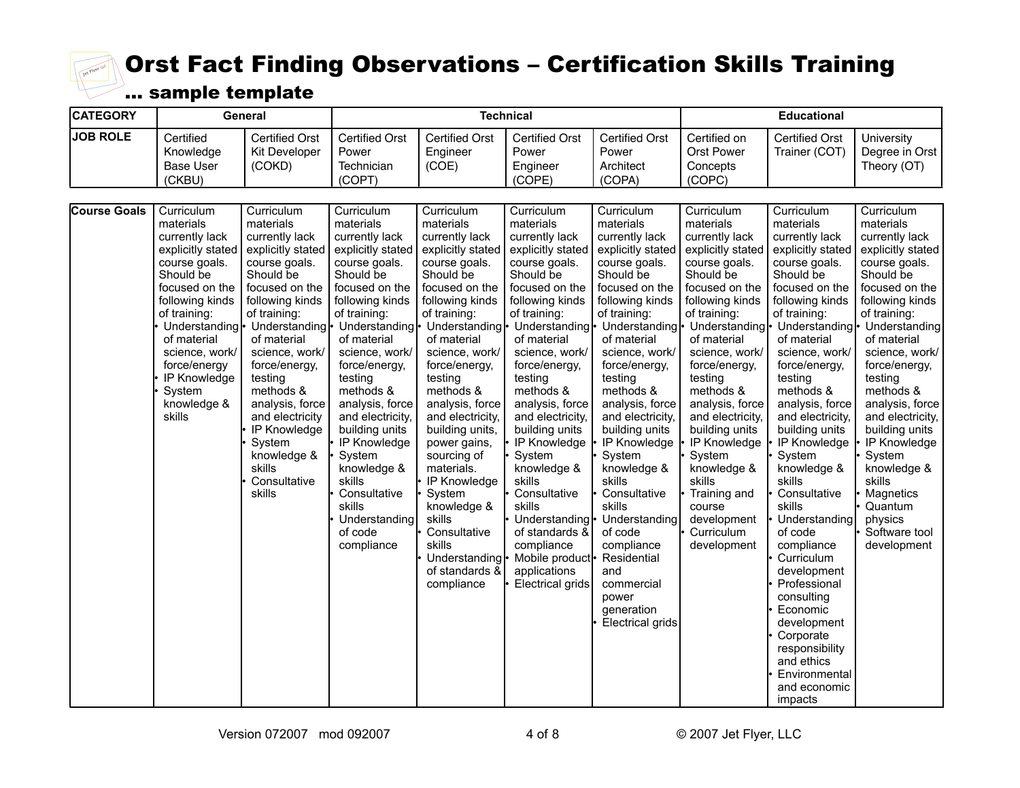

| <b>CATEGORY</b>     |                                                                                                                                                                                                                                                                                     | General                                                                                                                                                                                                                                                                                                                                        |                                                                                                                                                                                                                                                                                                                                                                                                                                                |                                                                                                                                                                                                                                                                                                                                                                                                                                                                  | <b>Technical</b>                                                                                                                                                                                                                                                                                                                                                                                                                                                                                              |                                                                                                                                                                                                                                                                                                                                                                                                                                                                                                   |                                                                                                                                                                                                                                                                                                                                                                                                                                                  | <b>Educational</b>                                                                                                                                                                                                                                                                                                                                                                                                                                                                                                                                                                                                       |                                                                                                                                                                                                                                                                                                                                                                                                                             |  |  |
|---------------------|-------------------------------------------------------------------------------------------------------------------------------------------------------------------------------------------------------------------------------------------------------------------------------------|------------------------------------------------------------------------------------------------------------------------------------------------------------------------------------------------------------------------------------------------------------------------------------------------------------------------------------------------|------------------------------------------------------------------------------------------------------------------------------------------------------------------------------------------------------------------------------------------------------------------------------------------------------------------------------------------------------------------------------------------------------------------------------------------------|------------------------------------------------------------------------------------------------------------------------------------------------------------------------------------------------------------------------------------------------------------------------------------------------------------------------------------------------------------------------------------------------------------------------------------------------------------------|---------------------------------------------------------------------------------------------------------------------------------------------------------------------------------------------------------------------------------------------------------------------------------------------------------------------------------------------------------------------------------------------------------------------------------------------------------------------------------------------------------------|---------------------------------------------------------------------------------------------------------------------------------------------------------------------------------------------------------------------------------------------------------------------------------------------------------------------------------------------------------------------------------------------------------------------------------------------------------------------------------------------------|--------------------------------------------------------------------------------------------------------------------------------------------------------------------------------------------------------------------------------------------------------------------------------------------------------------------------------------------------------------------------------------------------------------------------------------------------|--------------------------------------------------------------------------------------------------------------------------------------------------------------------------------------------------------------------------------------------------------------------------------------------------------------------------------------------------------------------------------------------------------------------------------------------------------------------------------------------------------------------------------------------------------------------------------------------------------------------------|-----------------------------------------------------------------------------------------------------------------------------------------------------------------------------------------------------------------------------------------------------------------------------------------------------------------------------------------------------------------------------------------------------------------------------|--|--|
| <b>JOB ROLE</b>     | Certified<br>Knowledge<br><b>Base User</b><br>(CKBU)                                                                                                                                                                                                                                | <b>Certified Orst</b><br>Kit Developer<br>(COKD)                                                                                                                                                                                                                                                                                               | <b>Certified Orst</b><br>Power<br>Technician<br>(COPT)                                                                                                                                                                                                                                                                                                                                                                                         | <b>Certified Orst</b><br>Engineer<br>(COE)                                                                                                                                                                                                                                                                                                                                                                                                                       | <b>Certified Orst</b><br>Power<br>Engineer<br>(COPE)                                                                                                                                                                                                                                                                                                                                                                                                                                                          | <b>Certified Orst</b><br>Power<br>Architect<br>(COPA)                                                                                                                                                                                                                                                                                                                                                                                                                                             | Certified on<br>Orst Power<br>Concepts<br>(COPC)                                                                                                                                                                                                                                                                                                                                                                                                 | <b>Certified Orst</b><br>Trainer (COT)                                                                                                                                                                                                                                                                                                                                                                                                                                                                                                                                                                                   | University<br>Degree in Orst<br>Theory (OT)                                                                                                                                                                                                                                                                                                                                                                                 |  |  |
| <b>Course Goals</b> | Curriculum<br>materials<br>currently lack<br>explicitly stated<br>course goals.<br>Should be<br>focused on the<br>following kinds<br>of training:<br>Understanding <sup>l</sup><br>of material<br>science, work/<br>force/energy<br>IP Knowledge<br>System<br>knowledge &<br>skills | Curriculum<br>materials<br>currently lack<br>explicitly stated<br>course goals.<br>Should be<br>focused on the<br>following kinds<br>of training:<br>of material<br>science, work/<br>force/energy,<br>testing<br>methods &<br>analysis, force<br>and electricity<br>IP Knowledge<br>System<br>knowledge &<br>skills<br>Consultative<br>skills | Curriculum<br>materials<br>currently lack<br>explicitly stated<br>course goals.<br>Should be<br>focused on the<br>following kinds<br>of training:<br>Understanding • Understanding •<br>of material<br>science, work/<br>force/energy,<br>testing<br>methods &<br>analysis, force<br>and electricity,<br>building units<br>IP Knowledge<br>System<br>knowledge &<br>skills<br>Consultative<br>skills<br>Understanding<br>of code<br>compliance | Curriculum<br>materials<br>currently lack<br>explicitly stated<br>course goals.<br>Should be<br>focused on the<br>following kinds<br>of training:<br>of material<br>science, work/<br>force/energy,<br>testing<br>methods &<br>analysis, force<br>and electricity,<br>building units,<br>power gains,<br>sourcing of<br>materials.<br>IP Knowledge<br>System<br>knowledge &<br>skills<br>Consultative<br>skills<br>Understanding<br>of standards &<br>compliance | Curriculum<br>materials<br>currently lack<br>explicitly stated<br>course goals.<br>Should be<br>focused on the<br>following kinds<br>of training:<br>Understanding • Understanding •<br>of material<br>science, work/<br>force/energy,<br>testing<br>methods &<br>analysis, force<br>and electricity.<br>building units<br>IP Knowledge<br>System<br>knowledge &<br>skills<br>Consultative<br>skills<br>Understanding-<br>of standards &<br>compliance<br>Mobile product-<br>applications<br>Electrical grids | Curriculum<br>materials<br>currently lack<br>explicitly stated<br>course goals.<br>Should be<br>focused on the<br>following kinds<br>of training:<br>of material<br>science, work/<br>force/energy,<br>testing<br>methods &<br>analysis, force<br>and electricity,<br>building units<br>IP Knowledge<br>System<br>knowledge &<br>skills<br>Consultative<br>skills<br>Understanding<br>of code<br>compliance<br>Residential<br>and<br>commercial<br>power<br>generation<br><b>Electrical grids</b> | Curriculum<br>materials<br>currently lack<br>explicitly stated<br>course goals.<br>Should be<br>focused on the<br>following kinds<br>of training:<br>Understanding • Understanding •<br>of material<br>science, work/<br>force/energy,<br>testing<br>methods &<br>analysis, force<br>and electricity,<br>building units<br>IP Knowledge<br>System<br>knowledge &<br>skills<br>Training and<br>course<br>development<br>Curriculum<br>development | Curriculum<br>materials<br>currently lack<br>explicitly stated<br>course goals.<br>Should be<br>focused on the<br>following kinds<br>of training:<br>Understanding <sup>l</sup><br>of material<br>science, work/<br>force/energy,<br>testing<br>methods &<br>analysis, force<br>and electricity.<br>building units<br>IP Knowledge<br>System<br>knowledge &<br>skills<br>Consultative<br>skills<br>Understanding<br>of code<br>compliance<br>Curriculum<br>development<br>Professional<br>consulting<br>Economic<br>development<br>Corporate<br>responsibility<br>and ethics<br>Environmental<br>and economic<br>impacts | Curriculum<br>materials<br>currently lack<br>explicitly stated<br>course goals.<br>Should be<br>focused on the<br>following kinds<br>of training:<br>Understanding<br>of material<br>science, work/<br>force/energy,<br>testing<br>methods &<br>analysis, force<br>and electricity,<br>building units<br>IP Knowledge<br>System<br>knowledge &<br>skills<br>Magnetics<br>Quantum<br>physics<br>Software tool<br>development |  |  |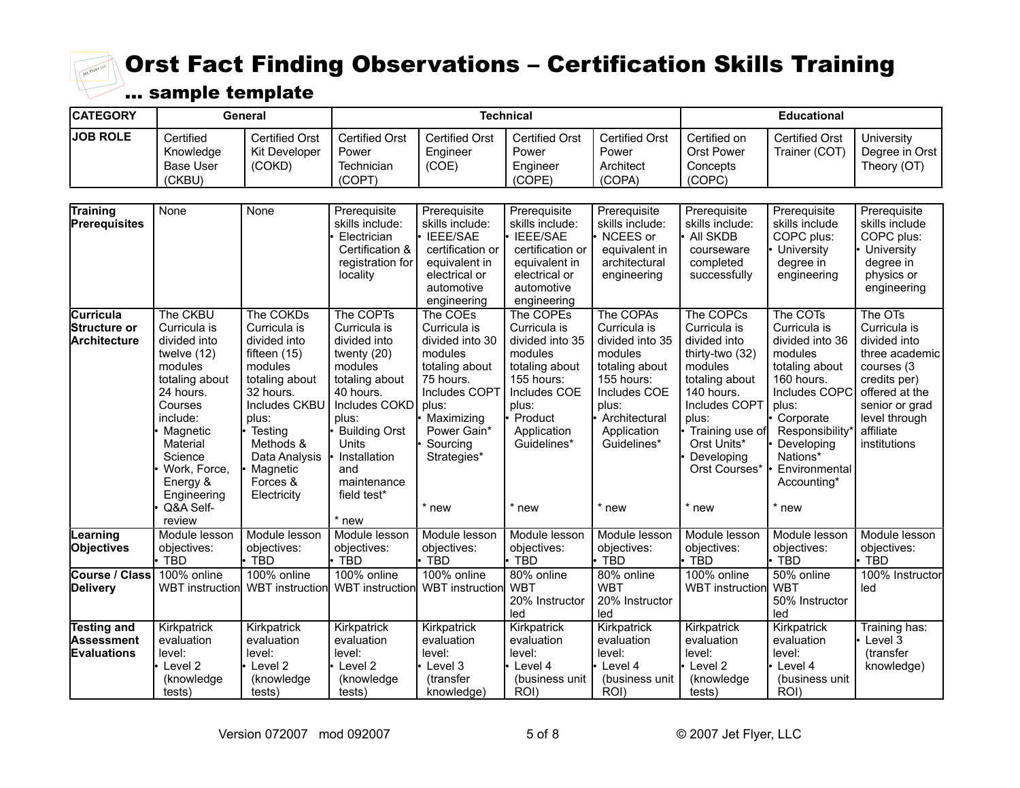

| <b>CATEGORY</b>                                        |                                                                                                                                                                                                                     | General                                                                                                                                                                                                               |                                                                                                                                                                                                               |                                                                                                                                                                                  | <b>Technical</b>                                                                                                                                                   |                                                                                                                                                                            |                                                                                                                                                                                                             | <b>Educational</b>                                                                                                                                                                                                  |                                                                                                                                                                           |
|--------------------------------------------------------|---------------------------------------------------------------------------------------------------------------------------------------------------------------------------------------------------------------------|-----------------------------------------------------------------------------------------------------------------------------------------------------------------------------------------------------------------------|---------------------------------------------------------------------------------------------------------------------------------------------------------------------------------------------------------------|----------------------------------------------------------------------------------------------------------------------------------------------------------------------------------|--------------------------------------------------------------------------------------------------------------------------------------------------------------------|----------------------------------------------------------------------------------------------------------------------------------------------------------------------------|-------------------------------------------------------------------------------------------------------------------------------------------------------------------------------------------------------------|---------------------------------------------------------------------------------------------------------------------------------------------------------------------------------------------------------------------|---------------------------------------------------------------------------------------------------------------------------------------------------------------------------|
| <b>JOB ROLE</b>                                        | Certified<br>Knowledge<br><b>Base User</b><br>(CKBU)                                                                                                                                                                | <b>Certified Orst</b><br><b>Kit Developer</b><br>(COKD)                                                                                                                                                               | <b>Certified Orst</b><br>Power<br>Technician<br>(COPT)                                                                                                                                                        | <b>Certified Orst</b><br>Engineer<br>(COE)                                                                                                                                       | <b>Certified Orst</b><br>Power<br>Engineer<br>(COPE)                                                                                                               | <b>Certified Orst</b><br>Power<br>Architect<br>(COPA)                                                                                                                      | Certified on<br>Orst Power<br>Concepts<br>(COPC)                                                                                                                                                            | <b>Certified Orst</b><br>Trainer (COT)                                                                                                                                                                              | University<br>Degree in Orst<br>Theory (OT)                                                                                                                               |
| <b>Training</b><br>Prerequisites                       | None                                                                                                                                                                                                                | None                                                                                                                                                                                                                  | Prerequisite<br>skills include:<br>Electrician<br>Certification &<br>registration for<br>locality                                                                                                             | Prerequisite<br>skills include:<br><b>IEEE/SAE</b><br>certification or<br>equivalent in<br>electrical or<br>automotive<br>engineering                                            | Prerequisite<br>skills include:<br><b>IEEE/SAE</b><br>certification or<br>equivalent in<br>electrical or<br>automotive<br>engineering                              | Prerequisite<br>skills include:<br>NCEES or<br>equivalent in<br>architectural<br>engineering                                                                               | Prerequisite<br>skills include:<br>All SKDB<br>courseware<br>completed<br>successfully                                                                                                                      | Prerequisite<br>skills include<br>COPC plus:<br>University<br>degree in<br>engineering                                                                                                                              | Prerequisite<br>skills include<br>COPC plus:<br>University<br>degree in<br>physics or<br>engineering                                                                      |
| Curricula<br>Structure or<br>Architecture              | The CKBU<br>Curricula is<br>divided into<br>twelve (12)<br>modules<br>totaling about<br>24 hours.<br>Courses<br>include:<br>Magnetic<br>Material<br>Science<br>Work, Force,<br>Energy &<br>Engineering<br>Q&A Self- | The COKDs<br>Curricula is<br>divided into<br>fifteen (15)<br>modules<br>totaling about<br>32 hours.<br>Includes CKBU<br>plus:<br>$\cdot$ Testing<br>Methods &<br>Data Analysis<br>Magnetic<br>Forces &<br>Electricity | The COPTs<br>Curricula is<br>divided into<br>twenty $(20)$<br>modules<br>totaling about<br>40 hours.<br>Includes COKD<br>plus:<br>Building Orst<br>Units<br>Installation<br>and<br>maintenance<br>field test* | The COEs<br>Curricula is<br>divided into 30<br>modules<br>totaling about<br>75 hours.<br>Includes COPT<br>plus:<br>Maximizing<br>Power Gain*<br>Sourcing<br>Strategies*<br>* new | The COPEs<br>Curricula is<br>divided into 35<br>modules<br>totaling about<br>155 hours:<br>Includes COE<br>plus:<br>Product<br>Application<br>Guidelines*<br>* new | The COPAs<br>Curricula is<br>divided into 35<br>modules<br>totaling about<br>155 hours:<br>Includes COE<br>plus:<br>Architectural<br>Application<br>Guidelines*<br>$*$ new | The COPCs<br>Curricula is<br>divided into<br>thirty-two (32)<br>modules<br>totaling about<br>140 hours.<br>Includes COPT<br>plus:<br>Training use of<br>Orst Units*<br>Developing<br>Orst Courses*<br>* new | The COTs<br>Curricula is<br>divided into 36<br>modules<br>totaling about<br>160 hours.<br>Includes COPC<br>plus:<br>Corporate<br>Responsibility*<br>Developing<br>Nations*<br>Environmental<br>Accounting*<br>* new | The OTs<br>Curricula is<br>divided into<br>three academic<br>courses (3<br>credits per)<br>offered at the<br>senior or grad<br>level through<br>affiliate<br>institutions |
| Learning<br><b>Objectives</b>                          | review<br>Module lesson<br>objectives:<br>$\cdot$ TBD                                                                                                                                                               | Module lesson<br>objectives:<br>• TBD                                                                                                                                                                                 | * new<br>Module lesson<br>objectives:<br>· TBD                                                                                                                                                                | Module lesson<br>objectives:<br>TBD                                                                                                                                              | Module lesson<br>objectives:<br><b>TBD</b>                                                                                                                         | Module lesson<br>objectives:<br>TBD                                                                                                                                        | Module lesson<br>objectives:<br><b>TBD</b>                                                                                                                                                                  | Module lesson<br>objectives:<br><b>TBD</b>                                                                                                                                                                          | Module lesson<br>objectives:<br><b>TBD</b>                                                                                                                                |
| Course / Class<br><b>Delivery</b>                      | 100% online                                                                                                                                                                                                         | 100% online<br>WBT instruction WBT instruction                                                                                                                                                                        | 100% online<br>WBT instruction                                                                                                                                                                                | 100% online<br><b>WBT</b> instruction                                                                                                                                            | 80% online<br><b>WBT</b><br>20% Instructor<br>led                                                                                                                  | 80% online<br><b>WBT</b><br>20% Instructor<br>led                                                                                                                          | 100% online<br><b>WBT</b> instruction                                                                                                                                                                       | 50% online<br><b>WBT</b><br>50% Instructor<br>led                                                                                                                                                                   | 100% Instructor<br>led                                                                                                                                                    |
| Testing and<br><b>Assessment</b><br><b>Evaluations</b> | Kirkpatrick<br>evaluation<br>level:<br>Level 2<br>(knowledge<br>tests)                                                                                                                                              | Kirkpatrick<br>evaluation<br>level:<br>• Level 2<br>(knowledge<br>tests)                                                                                                                                              | Kirkpatrick<br>evaluation<br>level:<br>Level 2<br>(knowledge<br>tests)                                                                                                                                        | Kirkpatrick<br>evaluation<br>level:<br>Level 3<br>(transfer<br>knowledge)                                                                                                        | Kirkpatrick<br>evaluation<br>level:<br>Level 4<br>(business unit<br>ROI)                                                                                           | Kirkpatrick<br>evaluation<br>level:<br>Level 4<br>(business unit<br>ROI)                                                                                                   | Kirkpatrick<br>evaluation<br>level:<br>Level 2<br>(knowledge<br>tests)                                                                                                                                      | Kirkpatrick<br>evaluation<br>level:<br>Level 4<br>(business unit<br>ROI)                                                                                                                                            | Training has:<br>Level 3<br>(transfer<br>knowledge)                                                                                                                       |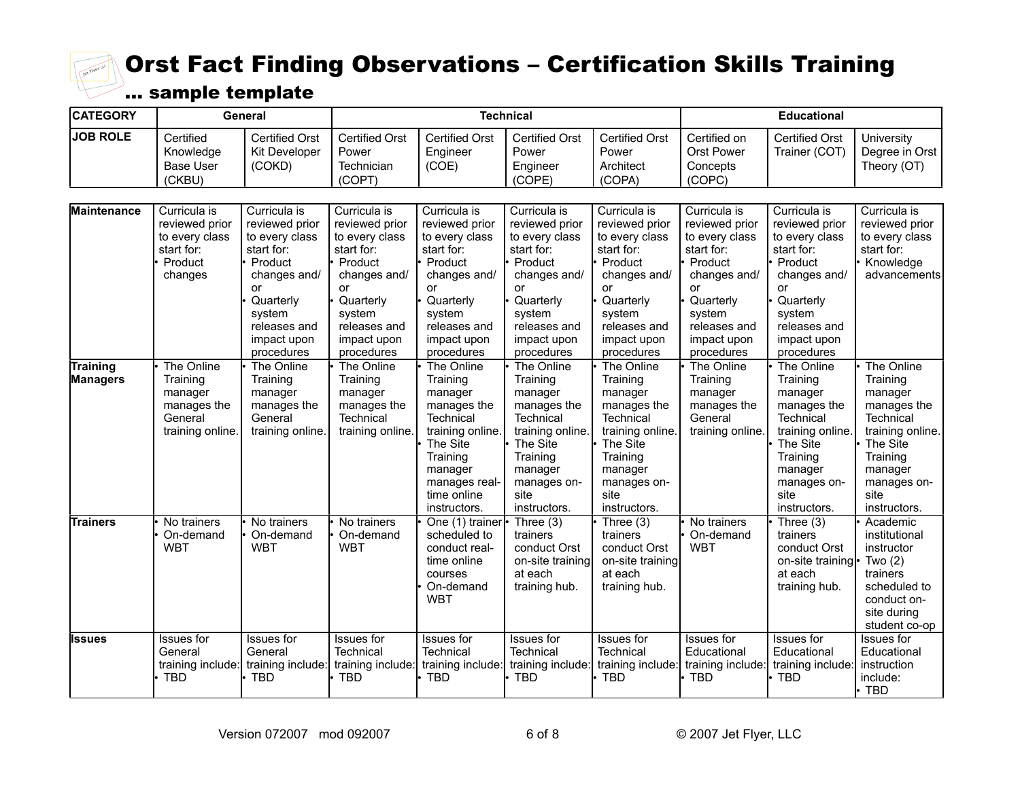

| <b>CATEGORY</b>             |                                                                                      | General                                                                                                                                                             |                                                                                                                                                                     |                                                                                                                                                                      | <b>Technical</b>                                                                                                                                                    |                                                                                                                                                                     |                                                                                                                                                                     | <b>Educational</b>                                                                                                                                                  |                                                                                                                                                             |
|-----------------------------|--------------------------------------------------------------------------------------|---------------------------------------------------------------------------------------------------------------------------------------------------------------------|---------------------------------------------------------------------------------------------------------------------------------------------------------------------|----------------------------------------------------------------------------------------------------------------------------------------------------------------------|---------------------------------------------------------------------------------------------------------------------------------------------------------------------|---------------------------------------------------------------------------------------------------------------------------------------------------------------------|---------------------------------------------------------------------------------------------------------------------------------------------------------------------|---------------------------------------------------------------------------------------------------------------------------------------------------------------------|-------------------------------------------------------------------------------------------------------------------------------------------------------------|
| <b>JOB ROLE</b>             | Certified<br>Knowledge<br><b>Base User</b><br>(CKBU)                                 | <b>Certified Orst</b><br>Kit Developer<br>(COKD)                                                                                                                    | <b>Certified Orst</b><br>Power<br>Technician<br>(COPT)                                                                                                              | <b>Certified Orst</b><br>Engineer<br>(COE)                                                                                                                           | <b>Certified Orst</b><br>Power<br>Engineer<br>(COPE)                                                                                                                | <b>Certified Orst</b><br>Power<br>Architect<br>(COPA)                                                                                                               | Certified on<br><b>Orst Power</b><br>Concepts<br>(COPC)                                                                                                             | <b>Certified Orst</b><br>Trainer (COT)                                                                                                                              | University<br>Degree in Orst<br>Theory (OT)                                                                                                                 |
| <b>Maintenance</b>          | Curricula is<br>reviewed prior<br>to every class<br>start for:<br>Product<br>changes | Curricula is<br>reviewed prior<br>to every class<br>start for:<br>Product<br>changes and/<br>or<br>Quarterly<br>system<br>releases and<br>impact upon<br>procedures | Curricula is<br>reviewed prior<br>to every class<br>start for:<br>Product<br>changes and/<br>or<br>Quarterly<br>system<br>releases and<br>impact upon<br>procedures | Curricula is<br>reviewed prior<br>to every class<br>start for:<br>Product<br>changes and/<br>or<br>Quarterly<br>system<br>releases and<br>impact upon<br>procedures  | Curricula is<br>reviewed prior<br>to every class<br>start for:<br>Product<br>changes and/<br>or<br>Quarterly<br>system<br>releases and<br>impact upon<br>procedures | Curricula is<br>reviewed prior<br>to every class<br>start for:<br>Product<br>changes and/<br>or<br>Quarterly<br>system<br>releases and<br>impact upon<br>procedures | Curricula is<br>reviewed prior<br>to every class<br>start for:<br>Product<br>changes and/<br>or<br>Quarterly<br>system<br>releases and<br>impact upon<br>procedures | Curricula is<br>reviewed prior<br>to every class<br>start for:<br>Product<br>changes and/<br>or<br>Quarterly<br>system<br>releases and<br>impact upon<br>procedures | Curricula is<br>reviewed prior<br>to every class<br>start for:<br>Knowledge<br>advancements                                                                 |
| Training<br><b>Managers</b> | The Online<br>Training<br>manager<br>manages the<br>General<br>training online.      | The Online<br>Training<br>manager<br>manages the<br>General<br>training online                                                                                      | The Online<br>Training<br>manager<br>manages the<br>Technical<br>training online.                                                                                   | The Online<br>Training<br>manager<br>manages the<br>Technical<br>training online.<br>The Site<br>Training<br>manager<br>manages real-<br>time online<br>instructors. | The Online<br>Training<br>manager<br>manages the<br>Technical<br>training online.<br>The Site<br>Training<br>manager<br>manages on-<br>site<br>instructors.         | The Online<br>Training<br>manager<br>manages the<br>Technical<br>training online<br>The Site<br>Training<br>manager<br>manages on-<br>site<br>instructors.          | The Online<br>Training<br>manager<br>manages the<br>General<br>training online                                                                                      | The Online<br>Training<br>manager<br>manages the<br>Technical<br>training online<br>The Site<br>Training<br>manager<br>manages on-<br>site<br>instructors.          | The Online<br>Training<br>manager<br>manages the<br>Technical<br>training online.<br>The Site<br>Training<br>manager<br>manages on-<br>site<br>instructors. |
| <b>Trainers</b>             | No trainers<br>On-demand<br><b>WBT</b>                                               | No trainers<br>On-demand<br><b>WBT</b>                                                                                                                              | No trainers<br>On-demand<br><b>WBT</b>                                                                                                                              | One (1) trainer<br>scheduled to<br>conduct real-<br>time online<br>courses<br>On-demand<br><b>WBT</b>                                                                | Three $(3)$<br>trainers<br>conduct Orst<br>on-site training<br>at each<br>training hub.                                                                             | Three $(3)$<br>trainers<br>conduct Orst<br>on-site training<br>at each<br>training hub.                                                                             | No trainers<br>On-demand<br><b>WBT</b>                                                                                                                              | Three $(3)$<br>trainers<br>conduct Orst<br>on-site training<br>at each<br>training hub.                                                                             | Academic<br>institutional<br>instructor<br>Two $(2)$<br>trainers<br>scheduled to<br>conduct on-<br>site during<br>student co-op                             |
| Issues                      | Issues for<br>General<br>training include:<br><b>TBD</b>                             | <b>Issues</b> for<br>General<br>training include:<br><b>TBD</b>                                                                                                     | Issues for<br>Technical<br>training include:<br><b>TBD</b>                                                                                                          | Issues for<br>Technical<br>training include:<br><b>TBD</b>                                                                                                           | Issues for<br>Technical<br>training include:<br><b>TBD</b>                                                                                                          | Issues for<br>Technical<br>training include:<br><b>TBD</b>                                                                                                          | Issues for<br>Educational<br>training include:<br><b>TBD</b>                                                                                                        | Issues for<br>Educational<br>training include:<br><b>TBD</b>                                                                                                        | Issues for<br>Educational<br>instruction<br>include:<br>TBD                                                                                                 |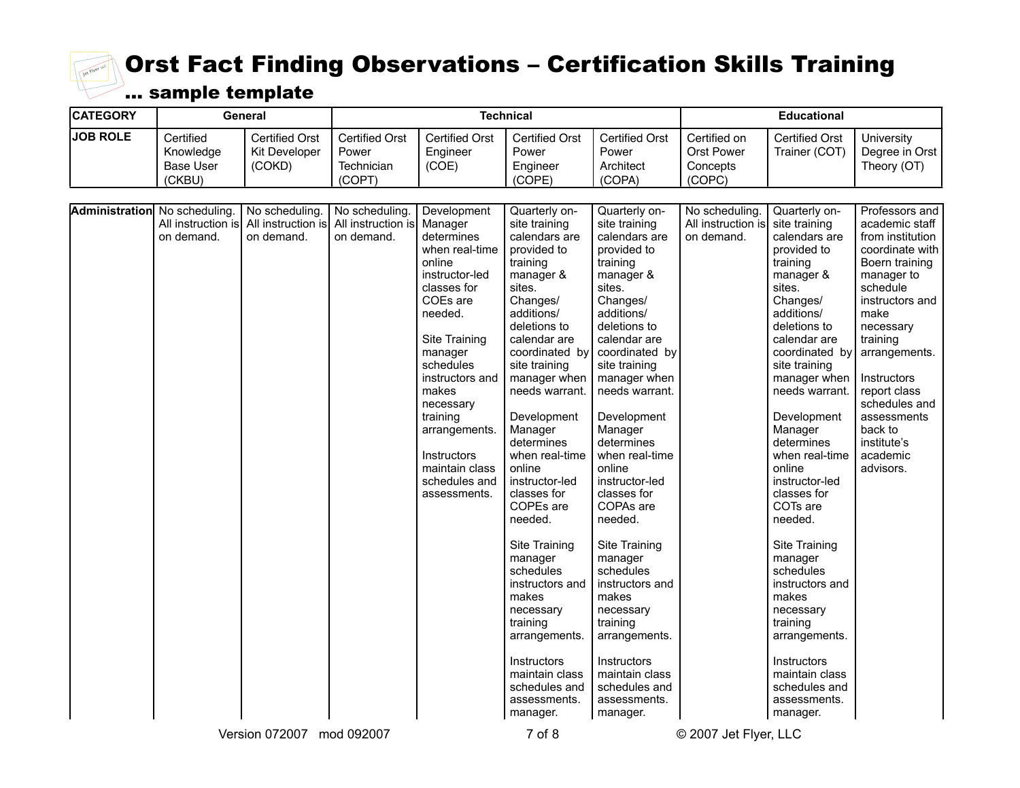

| <b>CATEGORY</b> |                                                      | General                                          |                                                                                          |                                                                                                                                                                                                                                                                                                           | <b>Technical</b>                                                                                                                                                                                                                                                                                                                                                                                                                                                                                                                                                  |                                                                                                                                                                                                                                                                                                                                                                                                                                                                                                                                                            |                                                                 | <b>Educational</b>                                                                                                                                                                                                                                                                                                                                                                                                                                                                                                                       |                                                                                                                                                                                                                                                                                                            |
|-----------------|------------------------------------------------------|--------------------------------------------------|------------------------------------------------------------------------------------------|-----------------------------------------------------------------------------------------------------------------------------------------------------------------------------------------------------------------------------------------------------------------------------------------------------------|-------------------------------------------------------------------------------------------------------------------------------------------------------------------------------------------------------------------------------------------------------------------------------------------------------------------------------------------------------------------------------------------------------------------------------------------------------------------------------------------------------------------------------------------------------------------|------------------------------------------------------------------------------------------------------------------------------------------------------------------------------------------------------------------------------------------------------------------------------------------------------------------------------------------------------------------------------------------------------------------------------------------------------------------------------------------------------------------------------------------------------------|-----------------------------------------------------------------|------------------------------------------------------------------------------------------------------------------------------------------------------------------------------------------------------------------------------------------------------------------------------------------------------------------------------------------------------------------------------------------------------------------------------------------------------------------------------------------------------------------------------------------|------------------------------------------------------------------------------------------------------------------------------------------------------------------------------------------------------------------------------------------------------------------------------------------------------------|
| <b>JOB ROLE</b> | Certified<br>Knowledge<br><b>Base User</b><br>(CKBU) | <b>Certified Orst</b><br>Kit Developer<br>(COKD) | <b>Certified Orst</b><br>Power<br>Technician<br>(COPT)                                   | <b>Certified Orst</b><br>Engineer<br>(COE)                                                                                                                                                                                                                                                                | <b>Certified Orst</b><br>Power<br>Engineer<br>(COPE)                                                                                                                                                                                                                                                                                                                                                                                                                                                                                                              | <b>Certified Orst</b><br>Power<br>Architect<br>(COPA)                                                                                                                                                                                                                                                                                                                                                                                                                                                                                                      | Certified on<br><b>Orst Power</b><br>Concepts<br>(COPC)         | <b>Certified Orst</b><br>Trainer (COT)                                                                                                                                                                                                                                                                                                                                                                                                                                                                                                   | University<br>Degree in Orst<br>Theory (OT)                                                                                                                                                                                                                                                                |
|                 | <b>Administration</b> No scheduling.<br>on demand.   | No scheduling.<br>on demand.                     | No scheduling.<br>All instruction is All instruction is All instruction is<br>on demand. | Development<br>Manager<br>determines<br>when real-time<br>online<br>instructor-led<br>classes for<br>COEs are<br>needed.<br>Site Training<br>manager<br>schedules<br>instructors and<br>makes<br>necessary<br>training<br>arrangements.<br>Instructors<br>maintain class<br>schedules and<br>assessments. | Quarterly on-<br>site training<br>calendars are<br>provided to<br>training<br>manager &<br>sites.<br>Changes/<br>additions/<br>deletions to<br>calendar are<br>coordinated by<br>site training<br>manager when<br>needs warrant.<br>Development<br>Manager<br>determines<br>when real-time<br>online<br>instructor-led<br>classes for<br>COPEs are<br>needed.<br>Site Training<br>manager<br>schedules<br>instructors and<br>makes<br>necessary<br>training<br>arrangements.<br><b>Instructors</b><br>maintain class<br>schedules and<br>assessments.<br>manager. | Quarterly on-<br>site training<br>calendars are<br>provided to<br>training<br>manager &<br>sites.<br>Changes/<br>additions/<br>deletions to<br>calendar are<br>coordinated by<br>site training<br>manager when<br>needs warrant.<br>Development<br>Manager<br>determines<br>when real-time<br>online<br>instructor-led<br>classes for<br>COPAs are<br>needed.<br>Site Training<br>manager<br>schedules<br>instructors and<br>makes<br>necessary<br>training<br>arrangements.<br>Instructors<br>maintain class<br>schedules and<br>assessments.<br>manager. | No scheduling<br>All instruction is site training<br>on demand. | Quarterly on-<br>calendars are<br>provided to<br>training<br>manager &<br>sites.<br>Changes/<br>additions/<br>deletions to<br>calendar are<br>coordinated by<br>site training<br>manager when<br>needs warrant.<br>Development<br>Manager<br>determines<br>when real-time<br>online<br>instructor-led<br>classes for<br>COTs are<br>needed.<br>Site Training<br>manager<br>schedules<br>instructors and<br>makes<br>necessary<br>training<br>arrangements.<br>Instructors<br>maintain class<br>schedules and<br>assessments.<br>manager. | Professors and<br>academic staff<br>from institution<br>coordinate with<br>Boern training<br>manager to<br>schedule<br>instructors and<br>make<br>necessary<br>training<br>arrangements.<br>Instructors<br>report class<br>schedules and<br>assessments<br>back to<br>institute's<br>academic<br>advisors. |